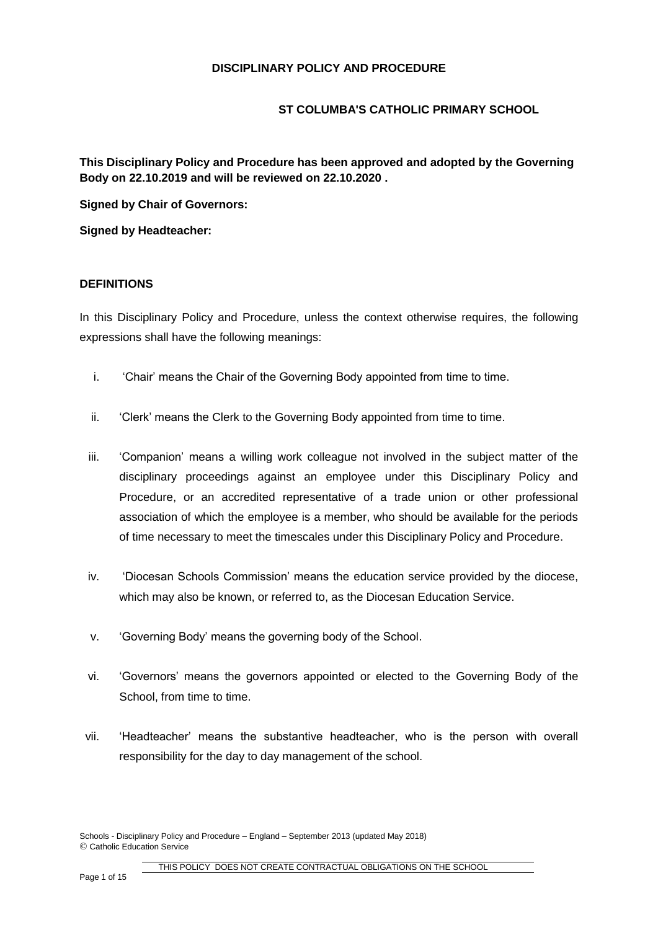### **ST COLUMBA'S CATHOLIC PRIMARY SCHOOL**

**This Disciplinary Policy and Procedure has been approved and adopted by the Governing Body on 22.10.2019 and will be reviewed on 22.10.2020 .**

**Signed by Chair of Governors:**

**Signed by Headteacher:**

### **DEFINITIONS**

In this Disciplinary Policy and Procedure, unless the context otherwise requires, the following expressions shall have the following meanings:

- i. 'Chair' means the Chair of the Governing Body appointed from time to time.
- ii. 'Clerk' means the Clerk to the Governing Body appointed from time to time.
- iii. 'Companion' means a willing work colleague not involved in the subject matter of the disciplinary proceedings against an employee under this Disciplinary Policy and Procedure, or an accredited representative of a trade union or other professional association of which the employee is a member, who should be available for the periods of time necessary to meet the timescales under this Disciplinary Policy and Procedure.
- iv. 'Diocesan Schools Commission' means the education service provided by the diocese, which may also be known, or referred to, as the Diocesan Education Service.
- v. 'Governing Body' means the governing body of the School.
- vi. 'Governors' means the governors appointed or elected to the Governing Body of the School, from time to time.
- vii. 'Headteacher' means the substantive headteacher, who is the person with overall responsibility for the day to day management of the school.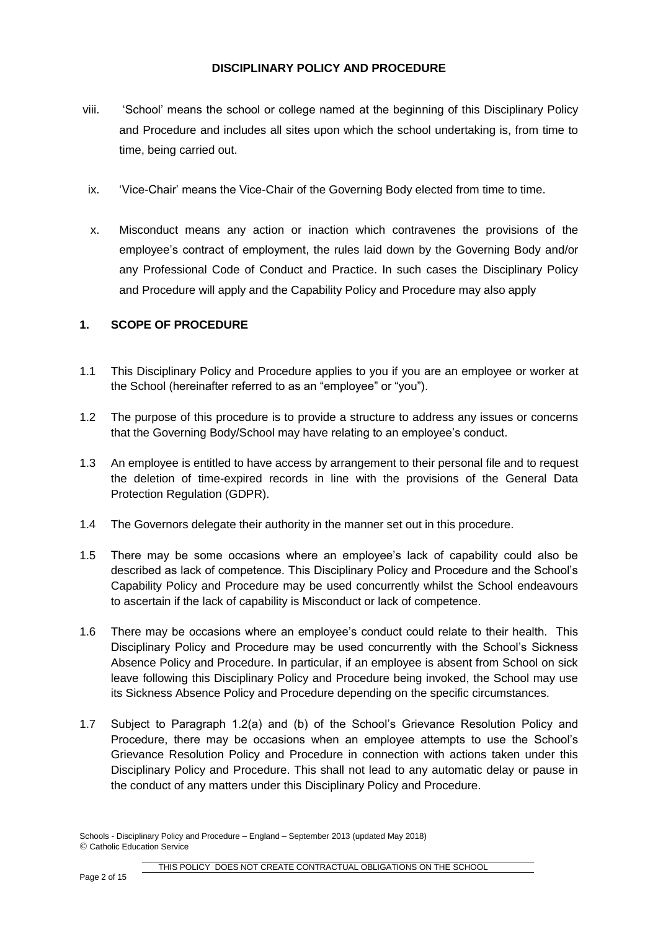- viii. 'School' means the school or college named at the beginning of this Disciplinary Policy and Procedure and includes all sites upon which the school undertaking is, from time to time, being carried out.
- ix. 'Vice-Chair' means the Vice-Chair of the Governing Body elected from time to time.
- x. Misconduct means any action or inaction which contravenes the provisions of the employee's contract of employment, the rules laid down by the Governing Body and/or any Professional Code of Conduct and Practice. In such cases the Disciplinary Policy and Procedure will apply and the Capability Policy and Procedure may also apply.

## **1. SCOPE OF PROCEDURE**

- 1.1 This Disciplinary Policy and Procedure applies to you if you are an employee or worker at the School (hereinafter referred to as an "employee" or "you").
- 1.2 The purpose of this procedure is to provide a structure to address any issues or concerns that the Governing Body/School may have relating to an employee's conduct.
- 1.3 An employee is entitled to have access by arrangement to their personal file and to request the deletion of time-expired records in line with the provisions of the General Data Protection Regulation (GDPR).
- 1.4 The Governors delegate their authority in the manner set out in this procedure.
- 1.5 There may be some occasions where an employee's lack of capability could also be described as lack of competence. This Disciplinary Policy and Procedure and the School's Capability Policy and Procedure may be used concurrently whilst the School endeavours to ascertain if the lack of capability is Misconduct or lack of competence.
- 1.6 There may be occasions where an employee's conduct could relate to their health. This Disciplinary Policy and Procedure may be used concurrently with the School's Sickness Absence Policy and Procedure. In particular, if an employee is absent from School on sick leave following this Disciplinary Policy and Procedure being invoked, the School may use its Sickness Absence Policy and Procedure depending on the specific circumstances.
- 1.7 Subject to Paragraph 1.2(a) and (b) of the School's Grievance Resolution Policy and Procedure, there may be occasions when an employee attempts to use the School's Grievance Resolution Policy and Procedure in connection with actions taken under this Disciplinary Policy and Procedure. This shall not lead to any automatic delay or pause in the conduct of any matters under this Disciplinary Policy and Procedure.

Schools - Disciplinary Policy and Procedure – England – September 2013 (updated May 2018) © Catholic Education Service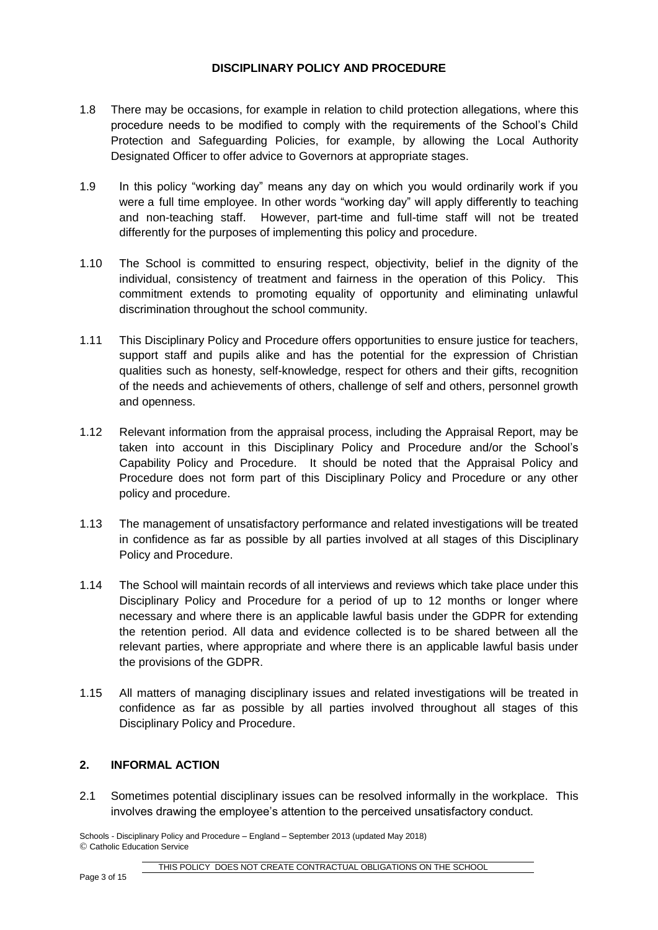- 1.8 There may be occasions, for example in relation to child protection allegations, where this procedure needs to be modified to comply with the requirements of the School's Child Protection and Safeguarding Policies, for example, by allowing the Local Authority Designated Officer to offer advice to Governors at appropriate stages.
- 1.9 In this policy "working day" means any day on which you would ordinarily work if you were a full time employee. In other words "working day" will apply differently to teaching and non-teaching staff. However, part-time and full-time staff will not be treated differently for the purposes of implementing this policy and procedure.
- 1.10 The School is committed to ensuring respect, objectivity, belief in the dignity of the individual, consistency of treatment and fairness in the operation of this Policy. This commitment extends to promoting equality of opportunity and eliminating unlawful discrimination throughout the school community.
- 1.11 This Disciplinary Policy and Procedure offers opportunities to ensure justice for teachers, support staff and pupils alike and has the potential for the expression of Christian qualities such as honesty, self-knowledge, respect for others and their gifts, recognition of the needs and achievements of others, challenge of self and others, personnel growth and openness.
- 1.12 Relevant information from the appraisal process, including the Appraisal Report, may be taken into account in this Disciplinary Policy and Procedure and/or the School's Capability Policy and Procedure. It should be noted that the Appraisal Policy and Procedure does not form part of this Disciplinary Policy and Procedure or any other policy and procedure.
- 1.13 The management of unsatisfactory performance and related investigations will be treated in confidence as far as possible by all parties involved at all stages of this Disciplinary Policy and Procedure.
- 1.14 The School will maintain records of all interviews and reviews which take place under this Disciplinary Policy and Procedure for a period of up to 12 months or longer where necessary and where there is an applicable lawful basis under the GDPR for extending the retention period. All data and evidence collected is to be shared between all the relevant parties, where appropriate and where there is an applicable lawful basis under the provisions of the GDPR.
- 1.15 All matters of managing disciplinary issues and related investigations will be treated in confidence as far as possible by all parties involved throughout all stages of this Disciplinary Policy and Procedure.

## **2. INFORMAL ACTION**

2.1 Sometimes potential disciplinary issues can be resolved informally in the workplace. This involves drawing the employee's attention to the perceived unsatisfactory conduct.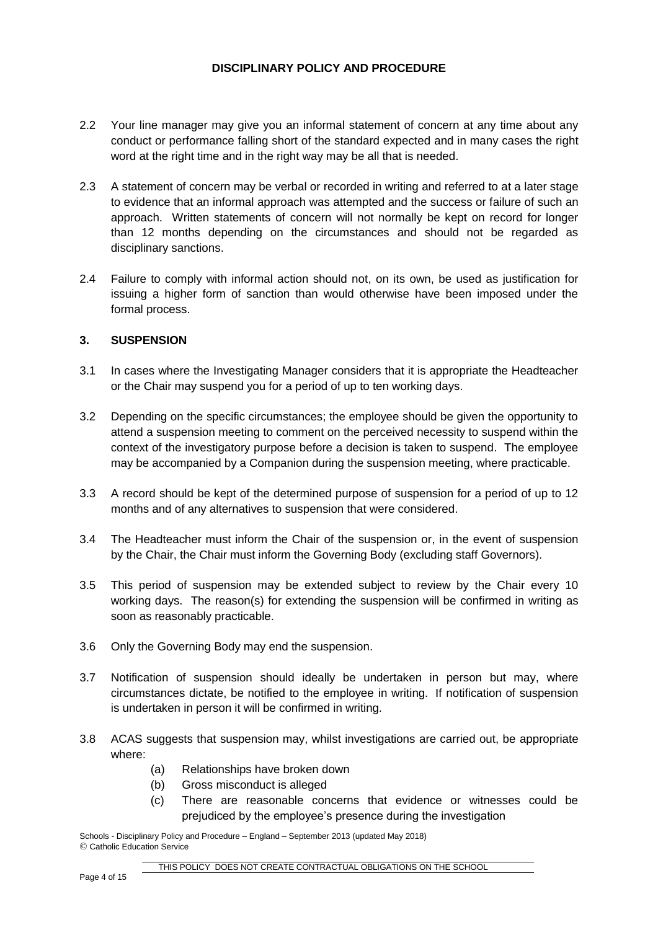- 2.2 Your line manager may give you an informal statement of concern at any time about any conduct or performance falling short of the standard expected and in many cases the right word at the right time and in the right way may be all that is needed.
- 2.3 A statement of concern may be verbal or recorded in writing and referred to at a later stage to evidence that an informal approach was attempted and the success or failure of such an approach. Written statements of concern will not normally be kept on record for longer than 12 months depending on the circumstances and should not be regarded as disciplinary sanctions.
- 2.4 Failure to comply with informal action should not, on its own, be used as justification for issuing a higher form of sanction than would otherwise have been imposed under the formal process.

### **3. SUSPENSION**

- 3.1 In cases where the Investigating Manager considers that it is appropriate the Headteacher or the Chair may suspend you for a period of up to ten working days.
- 3.2 Depending on the specific circumstances; the employee should be given the opportunity to attend a suspension meeting to comment on the perceived necessity to suspend within the context of the investigatory purpose before a decision is taken to suspend. The employee may be accompanied by a Companion during the suspension meeting, where practicable.
- 3.3 A record should be kept of the determined purpose of suspension for a period of up to 12 months and of any alternatives to suspension that were considered.
- 3.4 The Headteacher must inform the Chair of the suspension or, in the event of suspension by the Chair, the Chair must inform the Governing Body (excluding staff Governors).
- 3.5 This period of suspension may be extended subject to review by the Chair every 10 working days. The reason(s) for extending the suspension will be confirmed in writing as soon as reasonably practicable.
- 3.6 Only the Governing Body may end the suspension.
- 3.7 Notification of suspension should ideally be undertaken in person but may, where circumstances dictate, be notified to the employee in writing. If notification of suspension is undertaken in person it will be confirmed in writing.
- 3.8 ACAS suggests that suspension may, whilst investigations are carried out, be appropriate where:
	- (a) Relationships have broken down
	- (b) Gross misconduct is alleged
	- (c) There are reasonable concerns that evidence or witnesses could be prejudiced by the employee's presence during the investigation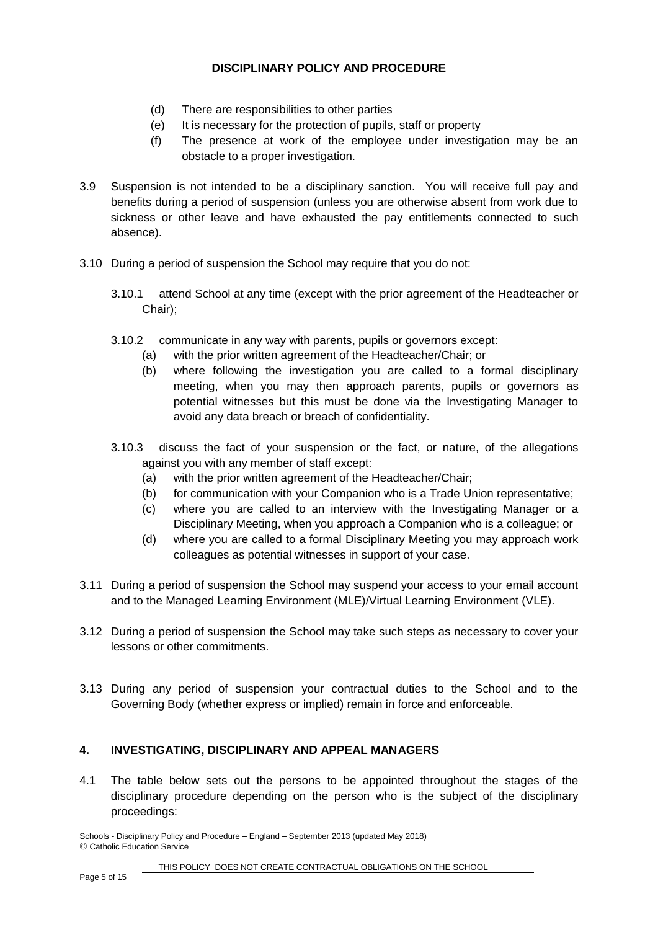- (d) There are responsibilities to other parties
- (e) It is necessary for the protection of pupils, staff or property
- (f) The presence at work of the employee under investigation may be an obstacle to a proper investigation.
- 3.9 Suspension is not intended to be a disciplinary sanction. You will receive full pay and benefits during a period of suspension (unless you are otherwise absent from work due to sickness or other leave and have exhausted the pay entitlements connected to such absence).
- 3.10 During a period of suspension the School may require that you do not:
	- 3.10.1 attend School at any time (except with the prior agreement of the Headteacher or Chair);
	- 3.10.2 communicate in any way with parents, pupils or governors except:
		- (a) with the prior written agreement of the Headteacher/Chair; or
		- (b) where following the investigation you are called to a formal disciplinary meeting, when you may then approach parents, pupils or governors as potential witnesses but this must be done via the Investigating Manager to avoid any data breach or breach of confidentiality.
	- 3.10.3 discuss the fact of your suspension or the fact, or nature, of the allegations against you with any member of staff except:
		- (a) with the prior written agreement of the Headteacher/Chair;
		- (b) for communication with your Companion who is a Trade Union representative;
		- (c) where you are called to an interview with the Investigating Manager or a Disciplinary Meeting, when you approach a Companion who is a colleague; or
		- (d) where you are called to a formal Disciplinary Meeting you may approach work colleagues as potential witnesses in support of your case.
- 3.11 During a period of suspension the School may suspend your access to your email account and to the Managed Learning Environment (MLE)/Virtual Learning Environment (VLE).
- 3.12 During a period of suspension the School may take such steps as necessary to cover your lessons or other commitments.
- 3.13 During any period of suspension your contractual duties to the School and to the Governing Body (whether express or implied) remain in force and enforceable.

#### **4. INVESTIGATING, DISCIPLINARY AND APPEAL MANAGERS**

4.1 The table below sets out the persons to be appointed throughout the stages of the disciplinary procedure depending on the person who is the subject of the disciplinary proceedings: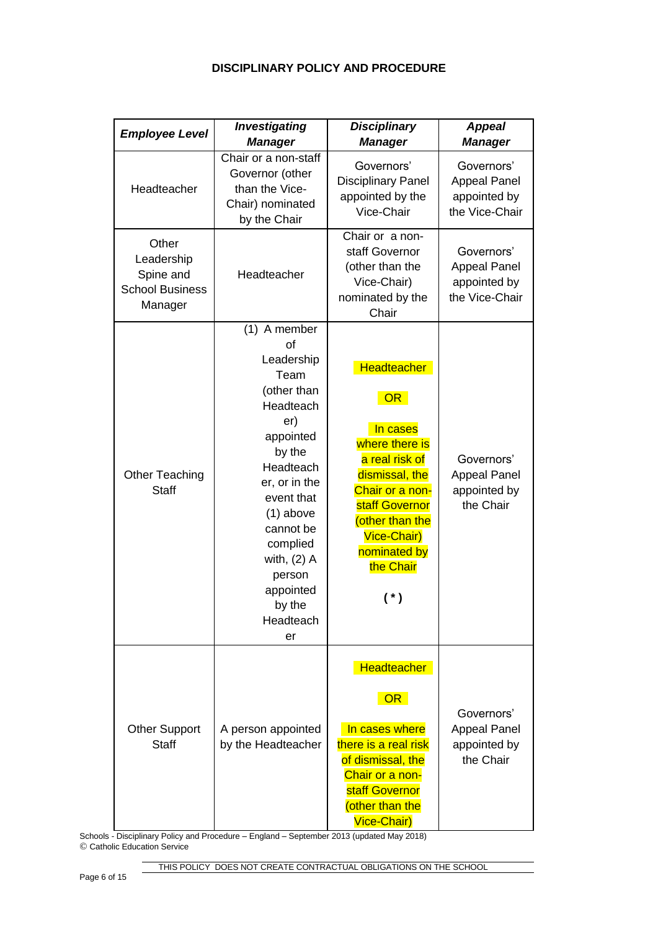| <b>Employee Level</b>                                                 | <b>Investigating</b><br><b>Manager</b>                                                                                                                                                                                                                      | <b>Disciplinary</b><br><b>Manager</b>                                                                                                                                                                   | <b>Appeal</b><br><b>Manager</b>                                     |
|-----------------------------------------------------------------------|-------------------------------------------------------------------------------------------------------------------------------------------------------------------------------------------------------------------------------------------------------------|---------------------------------------------------------------------------------------------------------------------------------------------------------------------------------------------------------|---------------------------------------------------------------------|
| Headteacher                                                           | Chair or a non-staff<br>Governor (other<br>than the Vice-<br>Chair) nominated<br>by the Chair                                                                                                                                                               | Governors'<br><b>Disciplinary Panel</b><br>appointed by the<br>Vice-Chair                                                                                                                               | Governors'<br><b>Appeal Panel</b><br>appointed by<br>the Vice-Chair |
| Other<br>Leadership<br>Spine and<br><b>School Business</b><br>Manager | Headteacher                                                                                                                                                                                                                                                 | Chair or a non-<br>staff Governor<br>(other than the<br>Vice-Chair)<br>nominated by the<br>Chair                                                                                                        | Governors'<br><b>Appeal Panel</b><br>appointed by<br>the Vice-Chair |
| Other Teaching<br><b>Staff</b>                                        | (1) A member<br>of<br>Leadership<br>Team<br>(other than<br>Headteach<br>er)<br>appointed<br>by the<br>Headteach<br>er, or in the<br>event that<br>$(1)$ above<br>cannot be<br>complied<br>with, $(2)$ A<br>person<br>appointed<br>by the<br>Headteach<br>er | <b>Headteacher</b><br>OR<br>In cases<br>where there is<br>a real risk of<br>dismissal, the<br>Chair or a non-<br>staff Governor<br>(other than the<br>Vice-Chair)<br>nominated by<br>the Chair<br>$(*)$ | Governors'<br><b>Appeal Panel</b><br>appointed by<br>the Chair      |
| <b>Other Support</b><br><b>Staff</b>                                  | A person appointed<br>by the Headteacher                                                                                                                                                                                                                    | <b>Headteacher</b><br>OR<br>In cases where<br>there is a real risk<br>of dismissal, the<br>Chair or a non-<br>staff Governor<br>(other than the<br>Vice-Chair)                                          | Governors'<br><b>Appeal Panel</b><br>appointed by<br>the Chair      |

Schools - Disciplinary Policy and Procedure – England – September 2013 (updated May 2018) © Catholic Education Service

THIS POLICY DOES NOT CREATE CONTRACTUAL OBLIGATIONS ON THE SCHOOL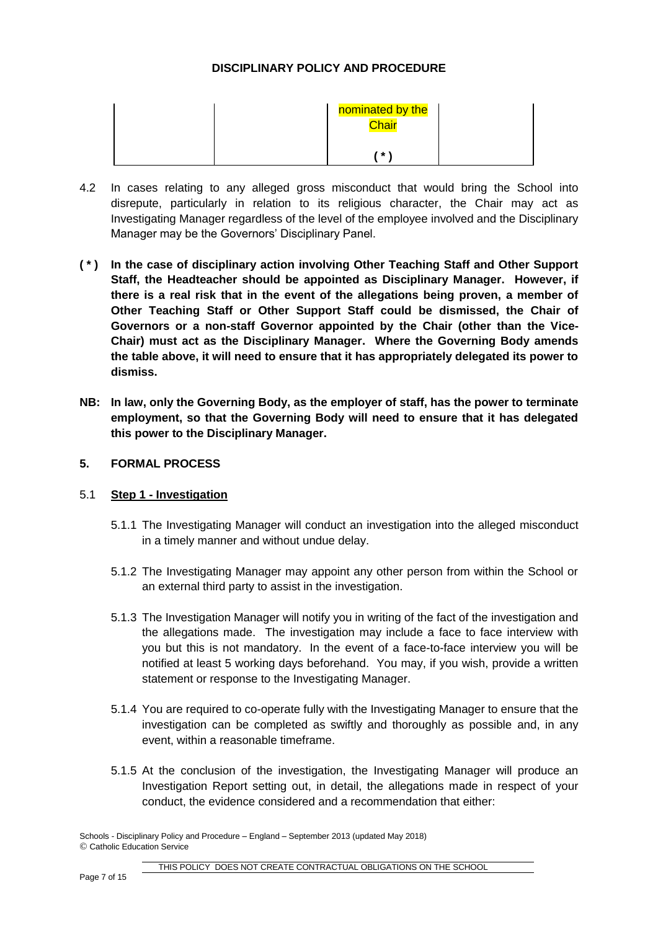|  | nominated by the<br>Chair |  |
|--|---------------------------|--|
|  | $*$ \                     |  |

- 4.2 In cases relating to any alleged gross misconduct that would bring the School into disrepute, particularly in relation to its religious character, the Chair may act as Investigating Manager regardless of the level of the employee involved and the Disciplinary Manager may be the Governors' Disciplinary Panel.
- **( \* ) In the case of disciplinary action involving Other Teaching Staff and Other Support Staff, the Headteacher should be appointed as Disciplinary Manager. However, if there is a real risk that in the event of the allegations being proven, a member of Other Teaching Staff or Other Support Staff could be dismissed, the Chair of Governors or a non-staff Governor appointed by the Chair (other than the Vice-Chair) must act as the Disciplinary Manager. Where the Governing Body amends the table above, it will need to ensure that it has appropriately delegated its power to dismiss.**
- **NB: In law, only the Governing Body, as the employer of staff, has the power to terminate employment, so that the Governing Body will need to ensure that it has delegated this power to the Disciplinary Manager.**
- **5. FORMAL PROCESS**

## 5.1 **Step 1 - Investigation**

- 5.1.1 The Investigating Manager will conduct an investigation into the alleged misconduct in a timely manner and without undue delay.
- 5.1.2 The Investigating Manager may appoint any other person from within the School or an external third party to assist in the investigation.
- 5.1.3 The Investigation Manager will notify you in writing of the fact of the investigation and the allegations made. The investigation may include a face to face interview with you but this is not mandatory. In the event of a face-to-face interview you will be notified at least 5 working days beforehand. You may, if you wish, provide a written statement or response to the Investigating Manager.
- 5.1.4 You are required to co-operate fully with the Investigating Manager to ensure that the investigation can be completed as swiftly and thoroughly as possible and, in any event, within a reasonable timeframe.
- 5.1.5 At the conclusion of the investigation, the Investigating Manager will produce an Investigation Report setting out, in detail, the allegations made in respect of your conduct, the evidence considered and a recommendation that either: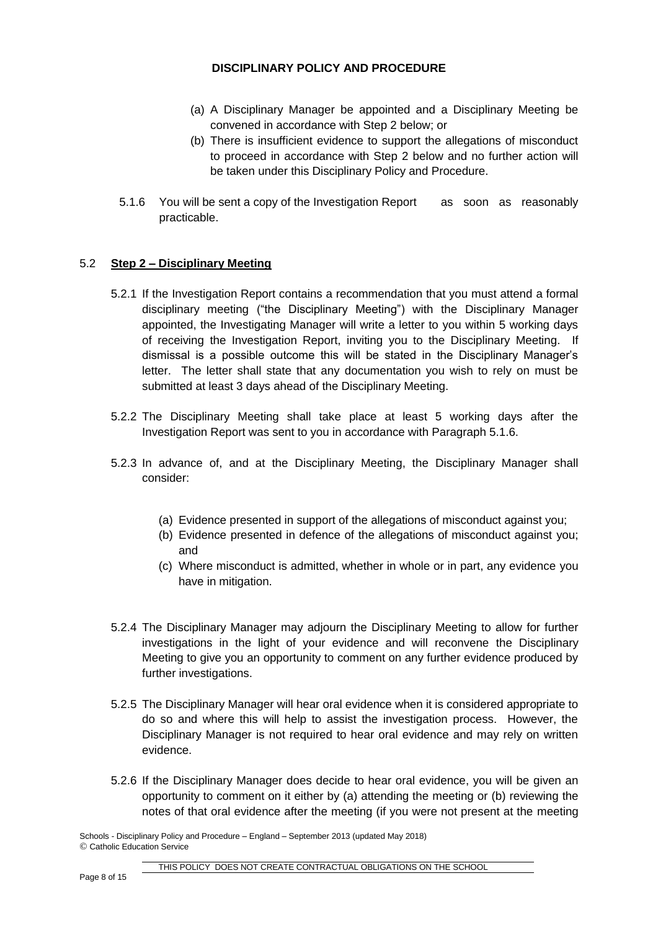- (a) A Disciplinary Manager be appointed and a Disciplinary Meeting be convened in accordance with Step 2 below; or
- (b) There is insufficient evidence to support the allegations of misconduct to proceed in accordance with Step 2 below and no further action will be taken under this Disciplinary Policy and Procedure.
- 5.1.6 You will be sent a copy of the Investigation Report as soon as reasonably practicable.

### 5.2 **Step 2 – Disciplinary Meeting**

- 5.2.1 If the Investigation Report contains a recommendation that you must attend a formal disciplinary meeting ("the Disciplinary Meeting") with the Disciplinary Manager appointed, the Investigating Manager will write a letter to you within 5 working days of receiving the Investigation Report, inviting you to the Disciplinary Meeting. If dismissal is a possible outcome this will be stated in the Disciplinary Manager's letter. The letter shall state that any documentation you wish to rely on must be submitted at least 3 days ahead of the Disciplinary Meeting.
- 5.2.2 The Disciplinary Meeting shall take place at least 5 working days after the Investigation Report was sent to you in accordance with Paragraph 5.1.6.
- 5.2.3 In advance of, and at the Disciplinary Meeting, the Disciplinary Manager shall consider:
	- (a) Evidence presented in support of the allegations of misconduct against you;
	- (b) Evidence presented in defence of the allegations of misconduct against you; and
	- (c) Where misconduct is admitted, whether in whole or in part, any evidence you have in mitigation.
- 5.2.4 The Disciplinary Manager may adjourn the Disciplinary Meeting to allow for further investigations in the light of your evidence and will reconvene the Disciplinary Meeting to give you an opportunity to comment on any further evidence produced by further investigations.
- 5.2.5 The Disciplinary Manager will hear oral evidence when it is considered appropriate to do so and where this will help to assist the investigation process. However, the Disciplinary Manager is not required to hear oral evidence and may rely on written evidence.
- 5.2.6 If the Disciplinary Manager does decide to hear oral evidence, you will be given an opportunity to comment on it either by (a) attending the meeting or (b) reviewing the notes of that oral evidence after the meeting (if you were not present at the meeting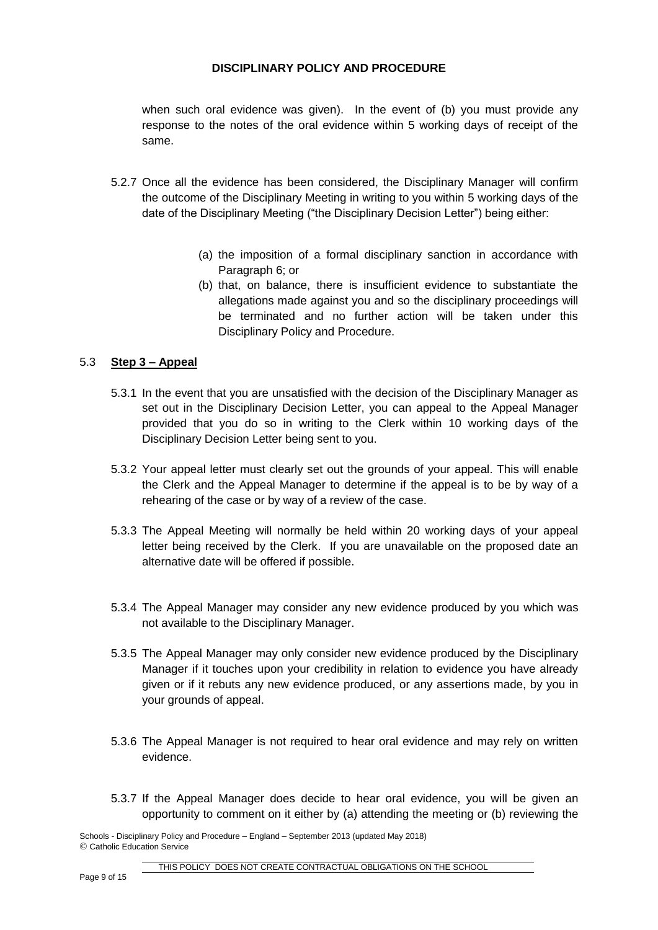when such oral evidence was given). In the event of (b) you must provide any response to the notes of the oral evidence within 5 working days of receipt of the same.

- 5.2.7 Once all the evidence has been considered, the Disciplinary Manager will confirm the outcome of the Disciplinary Meeting in writing to you within 5 working days of the date of the Disciplinary Meeting ("the Disciplinary Decision Letter") being either:
	- (a) the imposition of a formal disciplinary sanction in accordance with Paragraph 6; or
	- (b) that, on balance, there is insufficient evidence to substantiate the allegations made against you and so the disciplinary proceedings will be terminated and no further action will be taken under this Disciplinary Policy and Procedure.

### 5.3 **Step 3 – Appeal**

- 5.3.1 In the event that you are unsatisfied with the decision of the Disciplinary Manager as set out in the Disciplinary Decision Letter, you can appeal to the Appeal Manager provided that you do so in writing to the Clerk within 10 working days of the Disciplinary Decision Letter being sent to you.
- 5.3.2 Your appeal letter must clearly set out the grounds of your appeal. This will enable the Clerk and the Appeal Manager to determine if the appeal is to be by way of a rehearing of the case or by way of a review of the case.
- 5.3.3 The Appeal Meeting will normally be held within 20 working days of your appeal letter being received by the Clerk. If you are unavailable on the proposed date an alternative date will be offered if possible.
- 5.3.4 The Appeal Manager may consider any new evidence produced by you which was not available to the Disciplinary Manager.
- 5.3.5 The Appeal Manager may only consider new evidence produced by the Disciplinary Manager if it touches upon your credibility in relation to evidence you have already given or if it rebuts any new evidence produced, or any assertions made, by you in your grounds of appeal.
- 5.3.6 The Appeal Manager is not required to hear oral evidence and may rely on written evidence.
- 5.3.7 If the Appeal Manager does decide to hear oral evidence, you will be given an opportunity to comment on it either by (a) attending the meeting or (b) reviewing the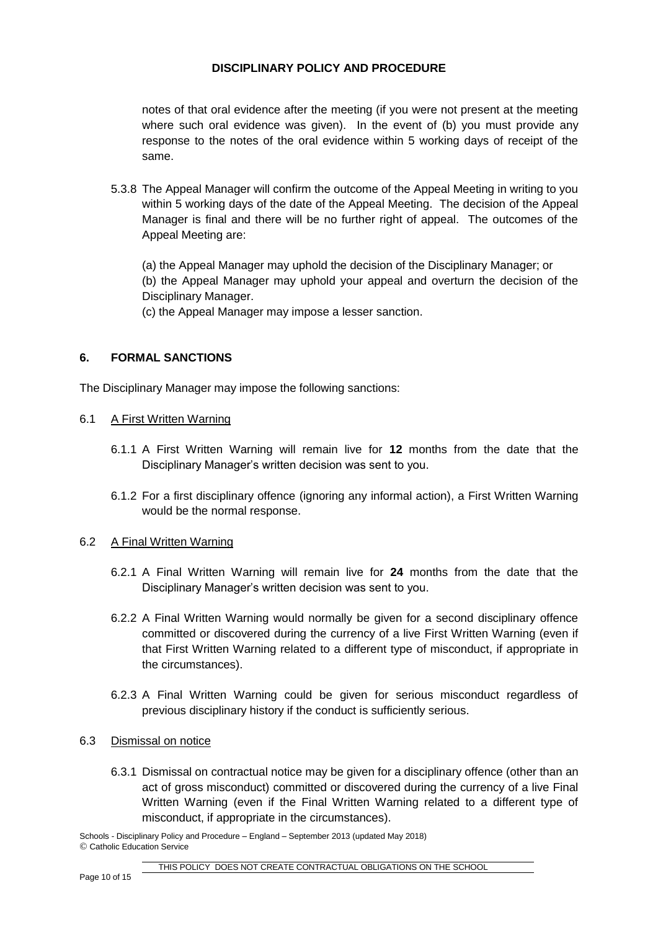notes of that oral evidence after the meeting (if you were not present at the meeting where such oral evidence was given). In the event of (b) you must provide any response to the notes of the oral evidence within 5 working days of receipt of the same.

5.3.8 The Appeal Manager will confirm the outcome of the Appeal Meeting in writing to you within 5 working days of the date of the Appeal Meeting. The decision of the Appeal Manager is final and there will be no further right of appeal. The outcomes of the Appeal Meeting are:

(a) the Appeal Manager may uphold the decision of the Disciplinary Manager; or (b) the Appeal Manager may uphold your appeal and overturn the decision of the Disciplinary Manager.

(c) the Appeal Manager may impose a lesser sanction.

## **6. FORMAL SANCTIONS**

The Disciplinary Manager may impose the following sanctions:

### 6.1 A First Written Warning

- 6.1.1 A First Written Warning will remain live for **12** months from the date that the Disciplinary Manager's written decision was sent to you.
- 6.1.2 For a first disciplinary offence (ignoring any informal action), a First Written Warning would be the normal response.

#### 6.2 A Final Written Warning

- 6.2.1 A Final Written Warning will remain live for **24** months from the date that the Disciplinary Manager's written decision was sent to you.
- 6.2.2 A Final Written Warning would normally be given for a second disciplinary offence committed or discovered during the currency of a live First Written Warning (even if that First Written Warning related to a different type of misconduct, if appropriate in the circumstances).
- 6.2.3 A Final Written Warning could be given for serious misconduct regardless of previous disciplinary history if the conduct is sufficiently serious.

#### 6.3 Dismissal on notice

6.3.1 Dismissal on contractual notice may be given for a disciplinary offence (other than an act of gross misconduct) committed or discovered during the currency of a live Final Written Warning (even if the Final Written Warning related to a different type of misconduct, if appropriate in the circumstances).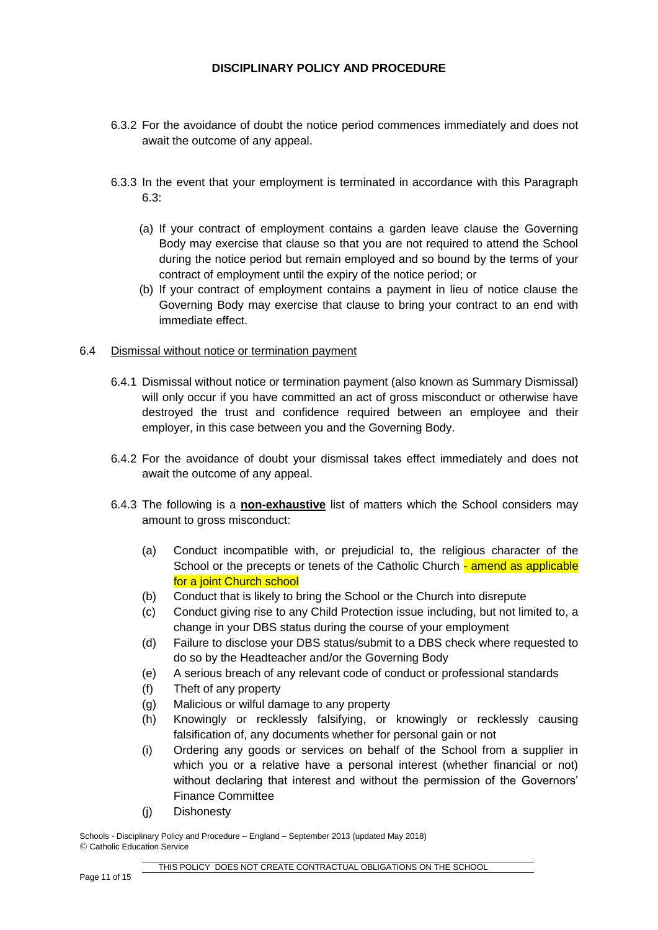- 6.3.2 For the avoidance of doubt the notice period commences immediately and does not await the outcome of any appeal.
- 6.3.3 In the event that your employment is terminated in accordance with this Paragraph 6.3:
	- (a) If your contract of employment contains a garden leave clause the Governing Body may exercise that clause so that you are not required to attend the School during the notice period but remain employed and so bound by the terms of your contract of employment until the expiry of the notice period; or
	- (b) If your contract of employment contains a payment in lieu of notice clause the Governing Body may exercise that clause to bring your contract to an end with immediate effect.

#### 6.4 Dismissal without notice or termination payment

- 6.4.1 Dismissal without notice or termination payment (also known as Summary Dismissal) will only occur if you have committed an act of gross misconduct or otherwise have destroyed the trust and confidence required between an employee and their employer, in this case between you and the Governing Body.
- 6.4.2 For the avoidance of doubt your dismissal takes effect immediately and does not await the outcome of any appeal.
- 6.4.3 The following is a **non-exhaustive** list of matters which the School considers may amount to gross misconduct:
	- (a) Conduct incompatible with, or prejudicial to, the religious character of the School or the precepts or tenets of the Catholic Church - amend as applicable for a joint Church school
	- (b) Conduct that is likely to bring the School or the Church into disrepute
	- (c) Conduct giving rise to any Child Protection issue including, but not limited to, a change in your DBS status during the course of your employment
	- (d) Failure to disclose your DBS status/submit to a DBS check where requested to do so by the Headteacher and/or the Governing Body
	- (e) A serious breach of any relevant code of conduct or professional standards
	- (f) Theft of any property
	- (g) Malicious or wilful damage to any property
	- (h) Knowingly or recklessly falsifying, or knowingly or recklessly causing falsification of, any documents whether for personal gain or not
	- (i) Ordering any goods or services on behalf of the School from a supplier in which you or a relative have a personal interest (whether financial or not) without declaring that interest and without the permission of the Governors' Finance Committee
	- (j) Dishonesty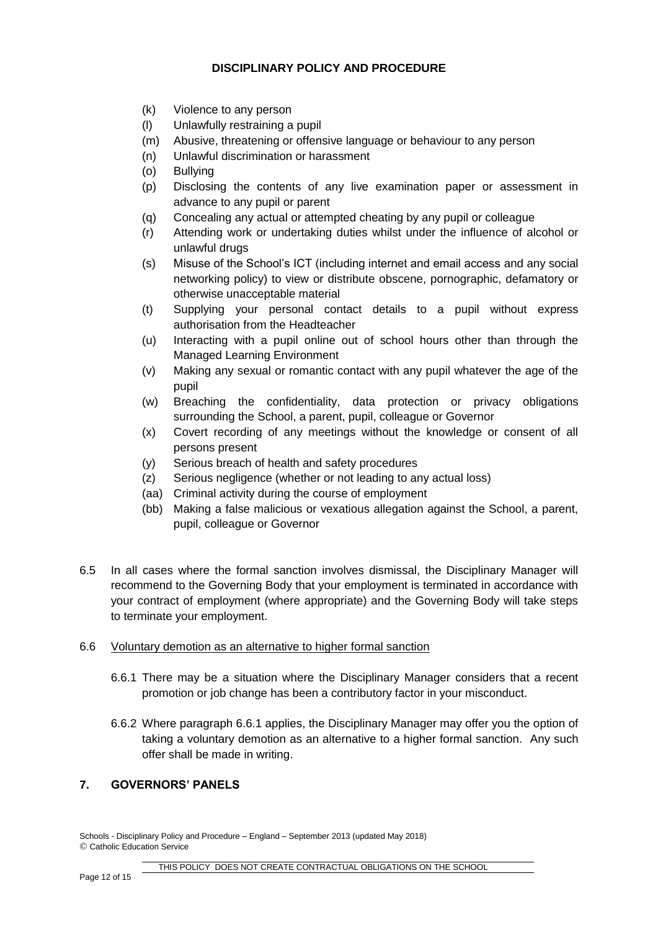- (k) Violence to any person
- (l) Unlawfully restraining a pupil
- (m) Abusive, threatening or offensive language or behaviour to any person
- (n) Unlawful discrimination or harassment
- (o) Bullying
- (p) Disclosing the contents of any live examination paper or assessment in advance to any pupil or parent
- (q) Concealing any actual or attempted cheating by any pupil or colleague
- (r) Attending work or undertaking duties whilst under the influence of alcohol or unlawful drugs
- (s) Misuse of the School's ICT (including internet and email access and any social networking policy) to view or distribute obscene, pornographic, defamatory or otherwise unacceptable material
- (t) Supplying your personal contact details to a pupil without express authorisation from the Headteacher
- (u) Interacting with a pupil online out of school hours other than through the Managed Learning Environment
- (v) Making any sexual or romantic contact with any pupil whatever the age of the pupil
- (w) Breaching the confidentiality, data protection or privacy obligations surrounding the School, a parent, pupil, colleague or Governor
- (x) Covert recording of any meetings without the knowledge or consent of all persons present
- (y) Serious breach of health and safety procedures
- (z) Serious negligence (whether or not leading to any actual loss)
- (aa) Criminal activity during the course of employment
- (bb) Making a false malicious or vexatious allegation against the School, a parent, pupil, colleague or Governor
- 6.5 In all cases where the formal sanction involves dismissal, the Disciplinary Manager will recommend to the Governing Body that your employment is terminated in accordance with your contract of employment (where appropriate) and the Governing Body will take steps to terminate your employment.

#### 6.6 Voluntary demotion as an alternative to higher formal sanction

- 6.6.1 There may be a situation where the Disciplinary Manager considers that a recent promotion or job change has been a contributory factor in your misconduct.
- 6.6.2 Where paragraph 6.6.1 applies, the Disciplinary Manager may offer you the option of taking a voluntary demotion as an alternative to a higher formal sanction. Any such offer shall be made in writing.

#### **7. GOVERNORS' PANELS**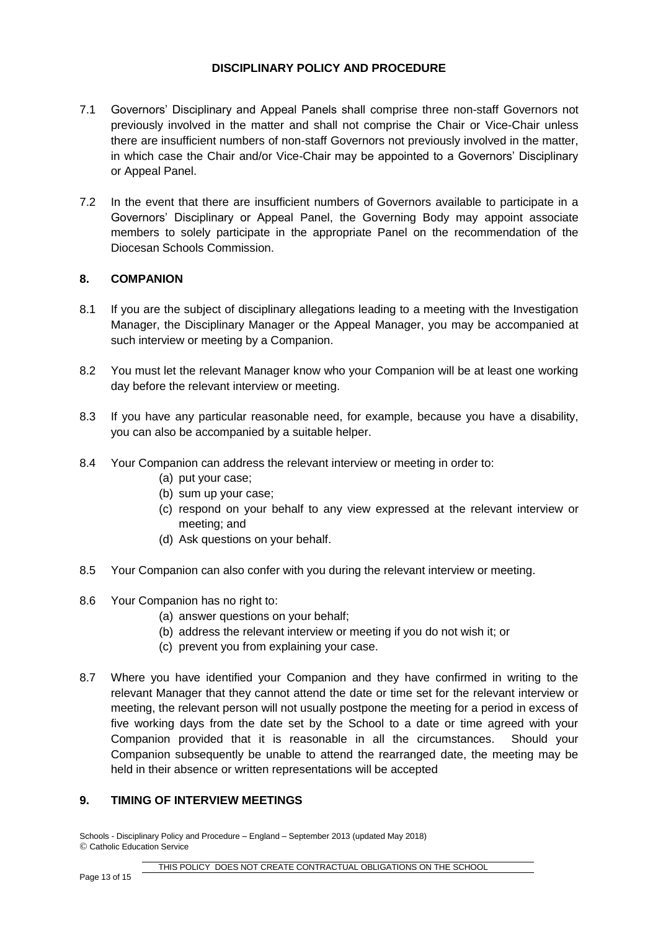- 7.1 Governors' Disciplinary and Appeal Panels shall comprise three non-staff Governors not previously involved in the matter and shall not comprise the Chair or Vice-Chair unless there are insufficient numbers of non-staff Governors not previously involved in the matter, in which case the Chair and/or Vice-Chair may be appointed to a Governors' Disciplinary or Appeal Panel.
- 7.2 In the event that there are insufficient numbers of Governors available to participate in a Governors' Disciplinary or Appeal Panel, the Governing Body may appoint associate members to solely participate in the appropriate Panel on the recommendation of the Diocesan Schools Commission.

## **8. COMPANION**

- 8.1 If you are the subject of disciplinary allegations leading to a meeting with the Investigation Manager, the Disciplinary Manager or the Appeal Manager, you may be accompanied at such interview or meeting by a Companion.
- 8.2 You must let the relevant Manager know who your Companion will be at least one working day before the relevant interview or meeting.
- 8.3 If you have any particular reasonable need, for example, because you have a disability, you can also be accompanied by a suitable helper.
- 8.4 Your Companion can address the relevant interview or meeting in order to:
	- (a) put your case;
	- (b) sum up your case;
	- (c) respond on your behalf to any view expressed at the relevant interview or meeting; and
	- (d) Ask questions on your behalf.
- 8.5 Your Companion can also confer with you during the relevant interview or meeting.
- 8.6 Your Companion has no right to:
	- (a) answer questions on your behalf;
	- (b) address the relevant interview or meeting if you do not wish it; or
	- (c) prevent you from explaining your case.
- 8.7 Where you have identified your Companion and they have confirmed in writing to the relevant Manager that they cannot attend the date or time set for the relevant interview or meeting, the relevant person will not usually postpone the meeting for a period in excess of five working days from the date set by the School to a date or time agreed with your Companion provided that it is reasonable in all the circumstances. Should your Companion subsequently be unable to attend the rearranged date, the meeting may be held in their absence or written representations will be accepted

#### **9. TIMING OF INTERVIEW MEETINGS**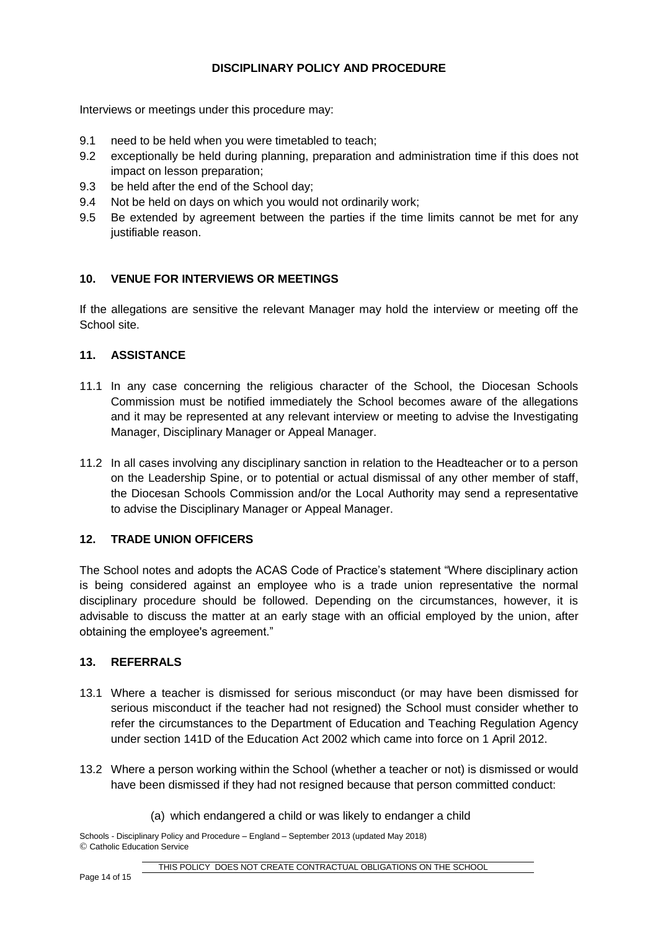Interviews or meetings under this procedure may:

- 9.1 need to be held when you were timetabled to teach;
- 9.2 exceptionally be held during planning, preparation and administration time if this does not impact on lesson preparation;
- 9.3 be held after the end of the School day;
- 9.4 Not be held on days on which you would not ordinarily work;
- 9.5 Be extended by agreement between the parties if the time limits cannot be met for any justifiable reason.

## **10. VENUE FOR INTERVIEWS OR MEETINGS**

If the allegations are sensitive the relevant Manager may hold the interview or meeting off the School site.

## **11. ASSISTANCE**

- 11.1 In any case concerning the religious character of the School, the Diocesan Schools Commission must be notified immediately the School becomes aware of the allegations and it may be represented at any relevant interview or meeting to advise the Investigating Manager, Disciplinary Manager or Appeal Manager.
- 11.2 In all cases involving any disciplinary sanction in relation to the Headteacher or to a person on the Leadership Spine, or to potential or actual dismissal of any other member of staff, the Diocesan Schools Commission and/or the Local Authority may send a representative to advise the Disciplinary Manager or Appeal Manager.

## **12. TRADE UNION OFFICERS**

The School notes and adopts the ACAS Code of Practice's statement "Where disciplinary action is being considered against an employee who is a trade union representative the normal disciplinary procedure should be followed. Depending on the circumstances, however, it is advisable to discuss the matter at an early stage with an official employed by the union, after obtaining the employee's agreement."

## **13. REFERRALS**

- 13.1 Where a teacher is dismissed for serious misconduct (or may have been dismissed for serious misconduct if the teacher had not resigned) the School must consider whether to refer the circumstances to the Department of Education and Teaching Regulation Agency under section 141D of the Education Act 2002 which came into force on 1 April 2012.
- 13.2 Where a person working within the School (whether a teacher or not) is dismissed or would have been dismissed if they had not resigned because that person committed conduct:
	- (a) which endangered a child or was likely to endanger a child